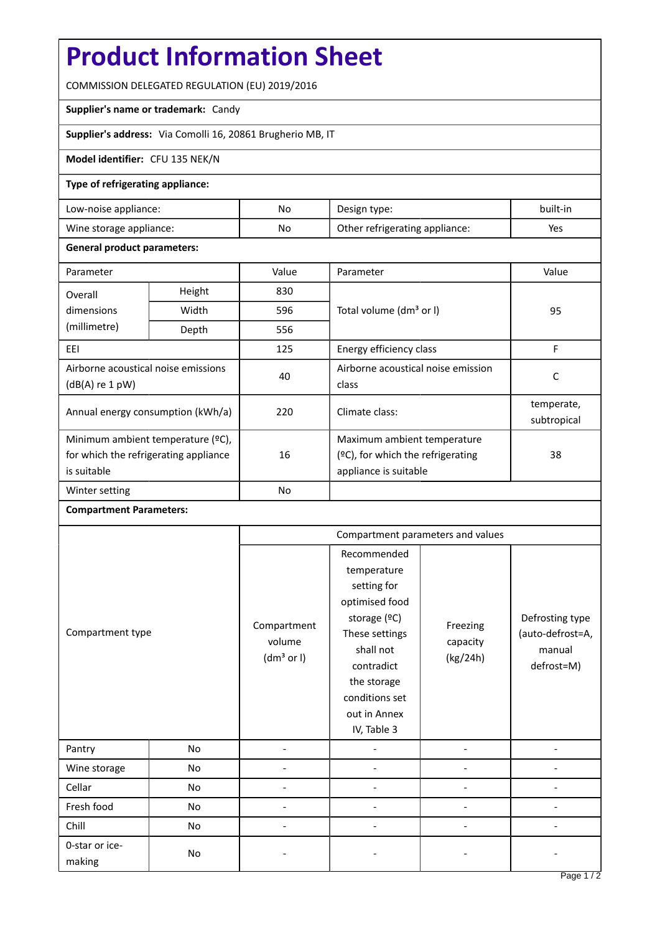# **Product Information Sheet**

COMMISSION DELEGATED REGULATION (EU) 2019/2016

## **Supplier's name or trademark:** Candy

**Supplier's address:** Via Comolli 16, 20861 Brugherio MB, IT

## **Model identifier:** CFU 135 NEK/N

## **Type of refrigerating appliance:**

| Low-noise appliance:    | No | Design type:                   | built-in |
|-------------------------|----|--------------------------------|----------|
| Wine storage appliance: | No | Other refrigerating appliance: | Yes      |

#### **General product parameters:**

| Parameter                                                                                 |        | Value     | Parameter                                                                                          | Value                     |
|-------------------------------------------------------------------------------------------|--------|-----------|----------------------------------------------------------------------------------------------------|---------------------------|
| Overall                                                                                   | Height | 830       |                                                                                                    | 95                        |
| dimensions<br>(millimetre)                                                                | Width  | 596       | Total volume (dm <sup>3</sup> or I)                                                                |                           |
|                                                                                           | Depth  | 556       |                                                                                                    |                           |
| EEI                                                                                       |        | 125       | Energy efficiency class                                                                            | F                         |
| Airborne acoustical noise emissions<br>$(dB(A)$ re 1 pW)                                  |        | 40        | Airborne acoustical noise emission<br>class                                                        | C                         |
| Annual energy consumption (kWh/a)                                                         |        | 220       | Climate class:                                                                                     | temperate,<br>subtropical |
| Minimum ambient temperature (°C),<br>for which the refrigerating appliance<br>is suitable |        | 16        | Maximum ambient temperature<br>$(2C)$ , for which the refrigerating<br>38<br>appliance is suitable |                           |
| Winter setting                                                                            |        | <b>No</b> |                                                                                                    |                           |

#### **Compartment Parameters:**

| Compartment type         |    | Compartment parameters and values               |                                                                                                                                                                                          |                                  |                                                             |
|--------------------------|----|-------------------------------------------------|------------------------------------------------------------------------------------------------------------------------------------------------------------------------------------------|----------------------------------|-------------------------------------------------------------|
|                          |    | Compartment<br>volume<br>(dm <sup>3</sup> or I) | Recommended<br>temperature<br>setting for<br>optimised food<br>storage (°C)<br>These settings<br>shall not<br>contradict<br>the storage<br>conditions set<br>out in Annex<br>IV, Table 3 | Freezing<br>capacity<br>(kg/24h) | Defrosting type<br>(auto-defrost=A,<br>manual<br>defrost=M) |
| Pantry                   | No |                                                 |                                                                                                                                                                                          |                                  |                                                             |
| Wine storage             | No |                                                 |                                                                                                                                                                                          |                                  |                                                             |
| Cellar                   | No |                                                 |                                                                                                                                                                                          |                                  |                                                             |
| Fresh food               | No |                                                 |                                                                                                                                                                                          |                                  |                                                             |
| Chill                    | No |                                                 |                                                                                                                                                                                          |                                  |                                                             |
| 0-star or ice-<br>making | No |                                                 |                                                                                                                                                                                          |                                  |                                                             |